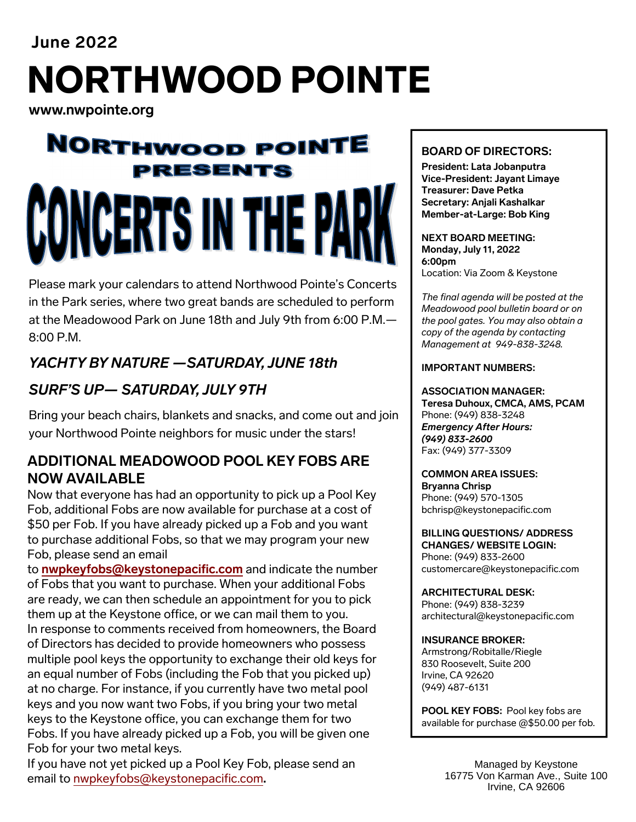# **June 2022**  NORTHWOOD POINTE

**www.nwpointe.org** 

# **NORTHWOOD POINTE** PRESENTS ERTS IN TH

Please mark your calendars to attend Northwood Pointe's Concerts in the Park series, where two great bands are scheduled to perform at the Meadowood Park on June 18th and July 9th from 6:00 P.M.— 8:00 P.M.

# *YACHTY BY NATURE —SATURDAY, JUNE 18th*

## *SURF'S UP— SATURDAY, JULY 9TH*

Bring your beach chairs, blankets and snacks, and come out and join your Northwood Pointe neighbors for music under the stars!

### **ADDITIONAL MEADOWOOD POOL KEY FOBS ARE NOW AVAILABLE**

Now that everyone has had an opportunity to pick up a Pool Key Fob, additional Fobs are now available for purchase at a cost of \$50 per Fob. If you have already picked up a Fob and you want to purchase additional Fobs, so that we may program your new Fob, please send an email

to **nwpkeyfobs@keystonepacific.com** and indicate the number of Fobs that you want to purchase. When your additional Fobs are ready, we can then schedule an appointment for you to pick them up at the Keystone office, or we can mail them to you. In response to comments received from homeowners, the Board of Directors has decided to provide homeowners who possess multiple pool keys the opportunity to exchange their old keys for an equal number of Fobs (including the Fob that you picked up) at no charge. For instance, if you currently have two metal pool keys and you now want two Fobs, if you bring your two metal keys to the Keystone office, you can exchange them for two Fobs. If you have already picked up a Fob, you will be given one Fob for your two metal keys.

If you have not yet picked up a Pool Key Fob, please send an email to nwpkeyfobs@keystonepacific.com**.**

#### **BOARD OF DIRECTORS:**

**President: Lata Jobanputra Vice-President: Jayant Limaye Treasurer: Dave Petka Secretary: Anjali Kashalkar Member-at-Large: Bob King** 

**NEXT BOARD MEETING: Monday, July 11, 2022 6:00pm**  Location: Via Zoom & Keystone

*The final agenda will be posted at the Meadowood pool bulletin board or on the pool gates. You may also obtain a copy of the agenda by contacting Management at 949-838-3248.*

#### **IMPORTANT NUMBERS:**

**ASSOCIATION MANAGER: Teresa Duhoux, CMCA, AMS, PCAM** Phone: (949) 838-3248 *Emergency After Hours: (949) 833-2600* Fax: (949) 377-3309

#### **COMMON AREA ISSUES: Bryanna Chrisp**  Phone: (949) 570-1305

bchrisp@keystonepacific.com

**BILLING QUESTIONS/ ADDRESS CHANGES/ WEBSITE LOGIN:**  Phone: (949) 833-2600 customercare@keystonepacific.com

**ARCHITECTURAL DESK:**  Phone: (949) 838-3239 architectural@keystonepacific.com

#### **INSURANCE BROKER:**

Armstrong/Robitalle/Riegle 830 Roosevelt, Suite 200 Irvine, CA 92620 (949) 487-6131

**POOL KEY FOBS:** Pool key fobs are available for purchase @\$50.00 per fob.

> Managed by Keystone 16775 Von Karman Ave., Suite 100 Irvine, CA 92606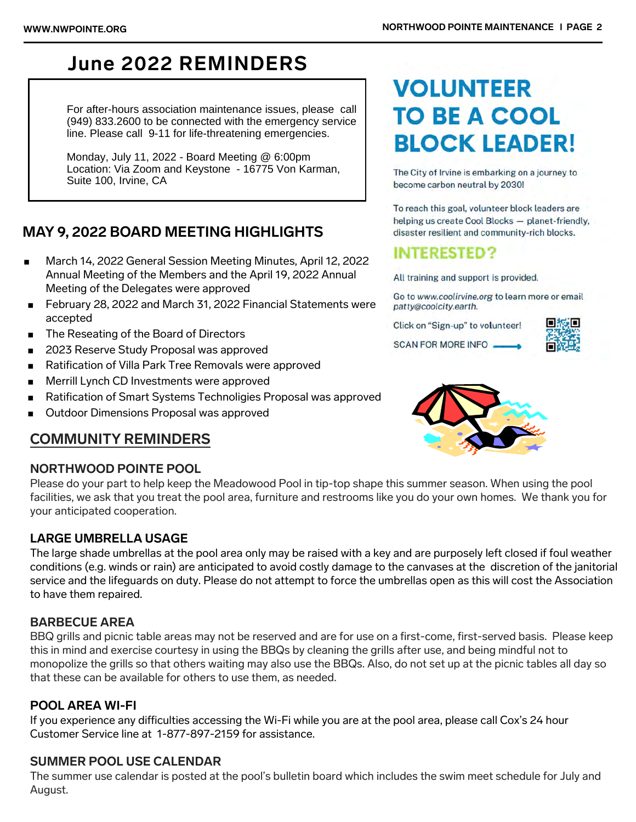# **June 2022 REMINDERS**

 For after-hours association maintenance issues, please call (949) 833.2600 to be connected with the emergency service line. Please call 9-11 for life-threatening emergencies.

 Monday, July 11, 2022 - Board Meeting @ 6:00pm Location: Via Zoom and Keystone - 16775 Von Karman, Suite 100, Irvine, CA

### **MAY 9, 2022 BOARD MEETING HIGHLIGHTS**

- March 14, 2022 General Session Meeting Minutes, April 12, 2022 Annual Meeting of the Members and the April 19, 2022 Annual Meeting of the Delegates were approved
- February 28, 2022 and March 31, 2022 Financial Statements were accepted
- The Reseating of the Board of Directors
- 2023 Reserve Study Proposal was approved
- Ratification of Villa Park Tree Removals were approved
- **Merrill Lynch CD Investments were approved**
- Ratification of Smart Systems Technoligies Proposal was approved
- **Dutdoor Dimensions Proposal was approved**

### **COMMUNITY REMINDERS**

#### **NORTHWOOD POINTE POOL**

Please do your part to help keep the Meadowood Pool in tip-top shape this summer season. When using the pool facilities, we ask that you treat the pool area, furniture and restrooms like you do your own homes. We thank you for your anticipated cooperation.

#### **LARGE UMBRELLA USAGE**

The large shade umbrellas at the pool area only may be raised with a key and are purposely left closed if foul weather conditions (e.g. winds or rain) are anticipated to avoid costly damage to the canvases at the discretion of the janitorial service and the lifeguards on duty. Please do not attempt to force the umbrellas open as this will cost the Association to have them repaired.

#### **BARBECUE AREA**

BBQ grills and picnic table areas may not be reserved and are for use on a first-come, first-served basis. Please keep this in mind and exercise courtesy in using the BBQs by cleaning the grills after use, and being mindful not to monopolize the grills so that others waiting may also use the BBQs. Also, do not set up at the picnic tables all day so that these can be available for others to use them, as needed.

#### **POOL AREA WI-FI**

If you experience any difficulties accessing the Wi-Fi while you are at the pool area, please call Cox's 24 hour Customer Service line at 1-877-897-2159 for assistance.

#### **SUMMER POOL USE CALENDAR**

The summer use calendar is posted at the pool's bulletin board which includes the swim meet schedule for July and August.

# **VOLUNTEER TO BE A COOL BLOCK LEADER!**

The City of Irvine is embarking on a journey to become carbon neutral by 2030!

To reach this goal, volunteer block leaders are helping us create Cool Blocks - planet-friendly, disaster resilient and community-rich blocks.

## **INTERESTED?**

All training and support is provided.

Go to www.coolirvine.org to learn more or email patty@coolcity.earth.

Click on "Sign-up" to volunteer!

SCAN FOR MORE INFO.



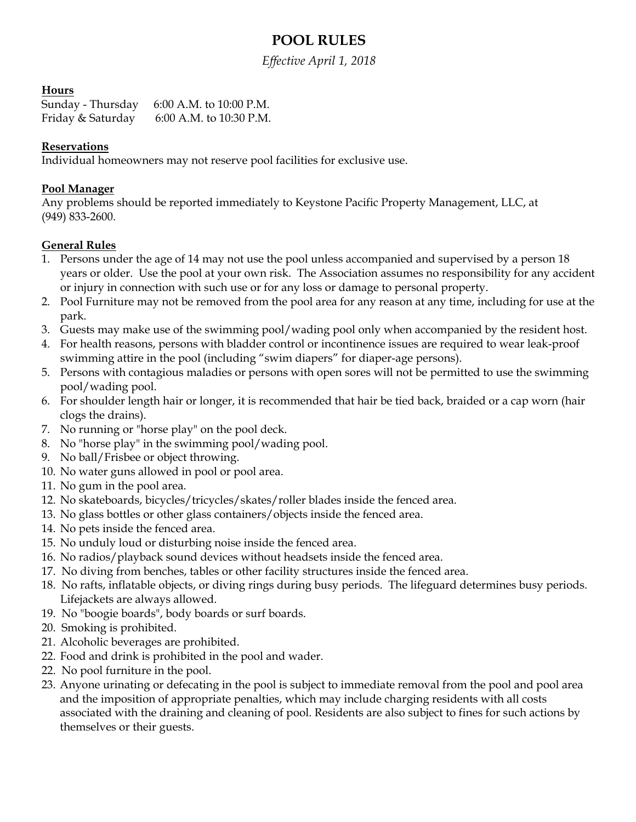## **POOL RULES**

*Effective April 1, 2018* 

#### **Hours**

Sunday - Thursday 6:00 A.M. to 10:00 P.M. Friday & Saturday 6:00 A.M. to 10:30 P.M.

#### **Reservations**

Individual homeowners may not reserve pool facilities for exclusive use.

#### **Pool Manager**

Any problems should be reported immediately to Keystone Pacific Property Management, LLC, at (949) 833-2600.

#### **General Rules**

- 1. Persons under the age of 14 may not use the pool unless accompanied and supervised by a person 18 years or older. Use the pool at your own risk. The Association assumes no responsibility for any accident or injury in connection with such use or for any loss or damage to personal property.
- 2. Pool Furniture may not be removed from the pool area for any reason at any time, including for use at the park.
- 3. Guests may make use of the swimming pool/wading pool only when accompanied by the resident host.
- 4. For health reasons, persons with bladder control or incontinence issues are required to wear leak-proof swimming attire in the pool (including "swim diapers" for diaper-age persons).
- 5. Persons with contagious maladies or persons with open sores will not be permitted to use the swimming pool/wading pool.
- 6. For shoulder length hair or longer, it is recommended that hair be tied back, braided or a cap worn (hair clogs the drains).
- 7. No running or "horse play" on the pool deck.
- 8. No "horse play" in the swimming pool/wading pool.
- 9. No ball/Frisbee or object throwing.
- 10. No water guns allowed in pool or pool area.
- 11. No gum in the pool area.
- 12. No skateboards, bicycles/tricycles/skates/roller blades inside the fenced area.
- 13. No glass bottles or other glass containers/objects inside the fenced area.
- 14. No pets inside the fenced area.
- 15. No unduly loud or disturbing noise inside the fenced area.
- 16. No radios/playback sound devices without headsets inside the fenced area.
- 17. No diving from benches, tables or other facility structures inside the fenced area.
- 18. No rafts, inflatable objects, or diving rings during busy periods. The lifeguard determines busy periods. Lifejackets are always allowed.
- 19. No "boogie boards", body boards or surf boards.
- 20. Smoking is prohibited.
- 21. Alcoholic beverages are prohibited.
- 22. Food and drink is prohibited in the pool and wader.
- 22. No pool furniture in the pool.
- 23. Anyone urinating or defecating in the pool is subject to immediate removal from the pool and pool area and the imposition of appropriate penalties, which may include charging residents with all costs associated with the draining and cleaning of pool. Residents are also subject to fines for such actions by themselves or their guests.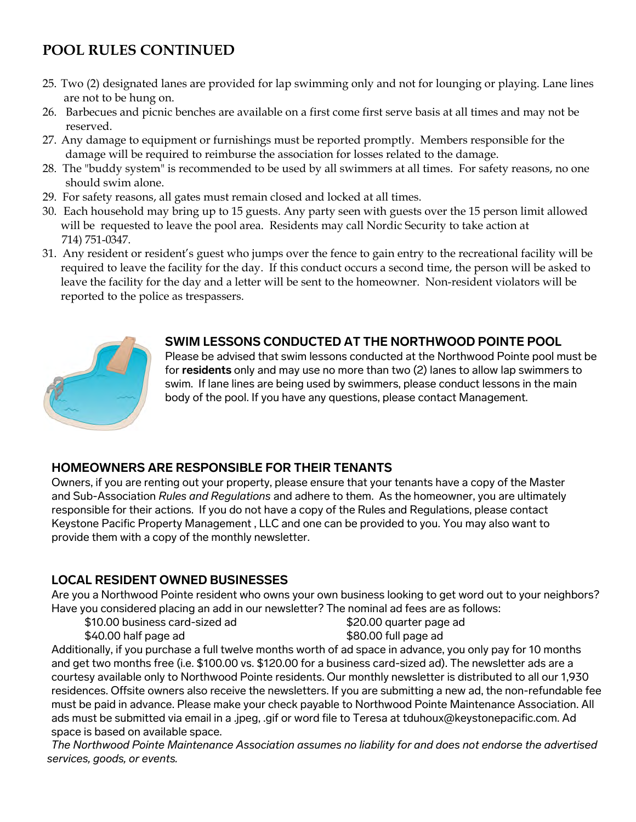# **POOL RULES CONTINUED**

- 25. Two (2) designated lanes are provided for lap swimming only and not for lounging or playing. Lane lines are not to be hung on.
- 26. Barbecues and picnic benches are available on a first come first serve basis at all times and may not be reserved.
- 27. Any damage to equipment or furnishings must be reported promptly. Members responsible for the damage will be required to reimburse the association for losses related to the damage.
- 28. The "buddy system" is recommended to be used by all swimmers at all times. For safety reasons, no one should swim alone.
- 29. For safety reasons, all gates must remain closed and locked at all times.
- 30. Each household may bring up to 15 guests. Any party seen with guests over the 15 person limit allowed will be requested to leave the pool area. Residents may call Nordic Security to take action at 714) 751-0347.
- 31. Any resident or resident's guest who jumps over the fence to gain entry to the recreational facility will be required to leave the facility for the day. If this conduct occurs a second time, the person will be asked to leave the facility for the day and a letter will be sent to the homeowner. Non-resident violators will be reported to the police as trespassers.



#### **SWIM LESSONS CONDUCTED AT THE NORTHWOOD POINTE POOL**

Please be advised that swim lessons conducted at the Northwood Pointe pool must be for **residents** only and may use no more than two (2) lanes to allow lap swimmers to swim. If lane lines are being used by swimmers, please conduct lessons in the main body of the pool. If you have any questions, please contact Management.

#### **HOMEOWNERS ARE RESPONSIBLE FOR THEIR TENANTS**

Owners, if you are renting out your property, please ensure that your tenants have a copy of the Master and Sub-Association *Rules and Regulations* and adhere to them. As the homeowner, you are ultimately responsible for their actions. If you do not have a copy of the Rules and Regulations, please contact Keystone Pacific Property Management , LLC and one can be provided to you. You may also want to provide them with a copy of the monthly newsletter.

#### **LOCAL RESIDENT OWNED BUSINESSES**

Are you a Northwood Pointe resident who owns your own business looking to get word out to your neighbors? Have you considered placing an add in our newsletter? The nominal ad fees are as follows:

\$10.00 business card-sized ad \$20.00 quarter page ad

\$40.00 half page ad \$80.00 full page ad

Additionally, if you purchase a full twelve months worth of ad space in advance, you only pay for 10 months and get two months free (i.e. \$100.00 vs. \$120.00 for a business card-sized ad). The newsletter ads are a courtesy available only to Northwood Pointe residents. Our monthly newsletter is distributed to all our 1,930 residences. Offsite owners also receive the newsletters. If you are submitting a new ad, the non-refundable fee must be paid in advance. Please make your check payable to Northwood Pointe Maintenance Association. All ads must be submitted via email in a .jpeg, .gif or word file to Teresa at tduhoux@keystonepacific.com. Ad space is based on available space.

*The Northwood Pointe Maintenance Association assumes no liability for and does not endorse the advertised services, goods, or events.*